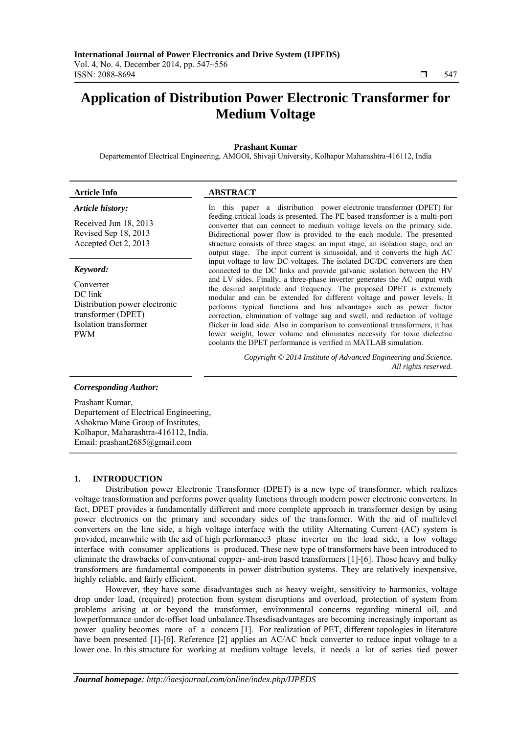# **Application of Distribution Power Electronic Transformer for Medium Voltage**

# **Prashant Kumar**

Departementof Electrical Engineering, AMGOI, Shivaji University, Kolhapur Maharashtra-416112, India

#### **Article Info ABSTRACT**

# *Article history:*

Received Jun 18, 2013 Revised Sep 18, 2013 Accepted Oct 2, 2013

#### *Keyword:*

Converter DC link Distribution power electronic transformer (DPET) Isolation transformer PWM

In this paper a distribution power electronic transformer (DPET) for feeding critical loads is presented. The PE based transformer is a multi-port converter that can connect to medium voltage levels on the primary side. Bidirectional power flow is provided to the each module. The presented structure consists of three stages: an input stage, an isolation stage, and an output stage. The input current is sinusoidal, and it converts the high AC input voltage to low DC voltages. The isolated DC/DC converters are then connected to the DC links and provide galvanic isolation between the HV and LV sides. Finally, a three-phase inverter generates the AC output with the desired amplitude and frequency. The proposed DPET is extremely modular and can be extended for different voltage and power levels. It performs typical functions and has advantages such as power factor correction, elimination of voltage sag and swell, and reduction of voltage flicker in load side. Also in comparison to conventional transformers, it has lower weight, lower volume and eliminates necessity for toxic dielectric coolants the DPET performance is verified in MATLAB simulation.

> *Copyright © 2014 Institute of Advanced Engineering and Science. All rights reserved.*

### *Corresponding Author:*

Prashant Kumar, Departement of Electrical Engineering, Ashokrao Mane Group of Institutes, Kolhapur, Maharashtra-416112, India. Email: prashant2685@gmail.com

#### **1. INTRODUCTION**

Distribution power Electronic Transformer (DPET) is a new type of transformer, which realizes voltage transformation and performs power quality functions through modern power electronic converters. In fact, DPET provides a fundamentally different and more complete approach in transformer design by using power electronics on the primary and secondary sides of the transformer. With the aid of multilevel converters on the line side, a high voltage interface with the utility Alternating Current (AC) system is provided, meanwhile with the aid of high performance3 phase inverter on the load side, a low voltage interface with consumer applications is produced. These new type of transformers have been introduced to eliminate the drawbacks of conventional copper- and-iron based transformers [1]-[6]. Those heavy and bulky transformers are fundamental components in power distribution systems. They are relatively inexpensive, highly reliable, and fairly efficient.

However, they have some disadvantages such as heavy weight, sensitivity to harmonics, voltage drop under load, (required) protection from system disruptions and overload, protection of system from problems arising at or beyond the transformer, environmental concerns regarding mineral oil, and lowperformance under dc-offset load unbalance.Thsesdisadvantages are becoming increasingly important as power quality becomes more of a concern [1]. For realization of PET, different topologies in literature have been presented [1]-[6]. Reference [2] applies an AC/AC buck converter to reduce input voltage to a lower one. In this structure for working at medium voltage levels, it needs a lot of series tied power

ֺֺ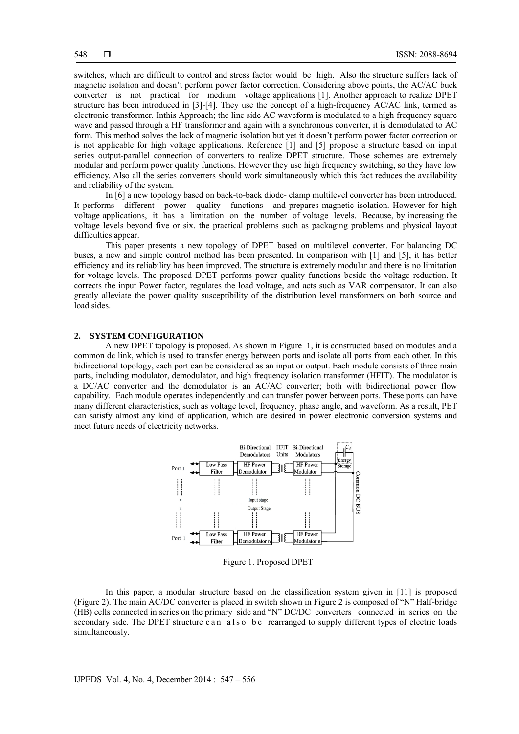switches, which are difficult to control and stress factor would be high. Also the structure suffers lack of magnetic isolation and doesn't perform power factor correction. Considering above points, the AC/AC buck converter is not practical for medium voltage applications [1]. Another approach to realize DPET structure has been introduced in [3]-[4]. They use the concept of a high-frequency AC/AC link, termed as electronic transformer. Inthis Approach; the line side AC waveform is modulated to a high frequency square wave and passed through a HF transformer and again with a synchronous converter, it is demodulated to AC form. This method solves the lack of magnetic isolation but yet it doesn't perform power factor correction or is not applicable for high voltage applications. Reference [1] and [5] propose a structure based on input series output-parallel connection of converters to realize DPET structure. Those schemes are extremely modular and perform power quality functions. However they use high frequency switching, so they have low efficiency. Also all the series converters should work simultaneously which this fact reduces the availability and reliability of the system.

In [6] a new topology based on back-to-back diode- clamp multilevel converter has been introduced. It performs different power quality functions and prepares magnetic isolation. However for high voltage applications, it has a limitation on the number of voltage levels. Because, by increasing the voltage levels beyond five or six, the practical problems such as packaging problems and physical layout difficulties appear.

This paper presents a new topology of DPET based on multilevel converter. For balancing DC buses, a new and simple control method has been presented. In comparison with [1] and [5], it has better efficiency and its reliability has been improved. The structure is extremely modular and there is no limitation for voltage levels. The proposed DPET performs power quality functions beside the voltage reduction. It corrects the input Power factor, regulates the load voltage, and acts such as VAR compensator. It can also greatly alleviate the power quality susceptibility of the distribution level transformers on both source and load sides.

### **2. SYSTEM CONFIGURATION**

A new DPET topology is proposed. As shown in Figure 1, it is constructed based on modules and a common dc link, which is used to transfer energy between ports and isolate all ports from each other. In this bidirectional topology, each port can be considered as an input or output. Each module consists of three main parts, including modulator, demodulator, and high frequency isolation transformer (HFIT). The modulator is a DC/AC converter and the demodulator is an AC/AC converter; both with bidirectional power flow capability. Each module operates independently and can transfer power between ports. These ports can have many different characteristics, such as voltage level, frequency, phase angle, and waveform. As a result, PET can satisfy almost any kind of application, which are desired in power electronic conversion systems and meet future needs of electricity networks.



Figure 1. Proposed DPET

In this paper, a modular structure based on the classification system given in [11] is proposed (Figure 2). The main AC/DC converter is placed in switch shown in Figure 2 is composed of "N" Half-bridge (HB) cells connected in series on the primary side and "N" DC/DC converters connected in series on the secondary side. The DPET structure c a n a l s o b e rearranged to supply different types of electric loads simultaneously.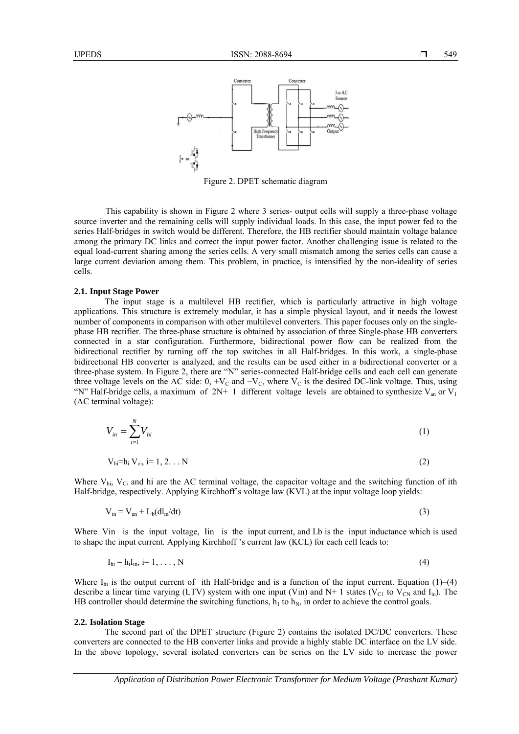

Figure 2. DPET schematic diagram

This capability is shown in Figure 2 where 3 series- output cells will supply a three-phase voltage source inverter and the remaining cells will supply individual loads. In this case, the input power fed to the series Half-bridges in switch would be different. Therefore, the HB rectifier should maintain voltage balance among the primary DC links and correct the input power factor. Another challenging issue is related to the equal load-current sharing among the series cells. A very small mismatch among the series cells can cause a large current deviation among them. This problem, in practice, is intensified by the non-ideality of series cells.

#### **2.1. Input Stage Power**

The input stage is a multilevel HB rectifier, which is particularly attractive in high voltage applications. This structure is extremely modular, it has a simple physical layout, and it needs the lowest number of components in comparison with other multilevel converters. This paper focuses only on the singlephase HB rectifier. The three-phase structure is obtained by association of three Single-phase HB converters connected in a star configuration. Furthermore, bidirectional power flow can be realized from the bidirectional rectifier by turning off the top switches in all Half-bridges. In this work, a single-phase bidirectional HB converter is analyzed, and the results can be used either in a bidirectional converter or a three-phase system. In Figure 2, there are "N" series-connected Half-bridge cells and each cell can generate three voltage levels on the AC side:  $0, +V_C$  and  $-V_C$ , where  $V_C$  is the desired DC-link voltage. Thus, using "N" Half-bridge cells, a maximum of  $2N+1$  different voltage levels are obtained to synthesize V<sub>an</sub> or V<sub>1</sub> (AC terminal voltage):

$$
V_{in} = \sum_{i=1}^{N} V_{hi} \tag{1}
$$

$$
V_{hi} = h_i V_{ci}, i = 1, 2...N
$$
 (2)

Where  $V_{hi}$ ,  $V_{Ci}$  and hi are the AC terminal voltage, the capacitor voltage and the switching function of ith Half-bridge, respectively. Applying Kirchhoff's voltage law (KVL) at the input voltage loop yields:

$$
V_{in} = V_{an} + L_b(dI_{in}/dt) \tag{3}
$$

Where Vin is the input voltage, Iin is the input current, and Lb is the input inductance which is used to shape the input current. Applying Kirchhoff 's current law (KCL) for each cell leads to:

$$
I_{hi} = h_i I_{in}, i = 1, \ldots, N
$$
\n<sup>(4)</sup>

Where  $I_{hi}$  is the output current of ith Half-bridge and is a function of the input current. Equation (1)–(4) describe a linear time varying (LTV) system with one input (Vin) and N+ 1 states (V<sub>C1</sub> to V<sub>CN</sub> and I<sub>in</sub>). The HB controller should determine the switching functions,  $h_1$  to  $h_N$ , in order to achieve the control goals.

### **2.2. Isolation Stage**

The second part of the DPET structure (Figure 2) contains the isolated DC/DC converters. These converters are connected to the HB converter links and provide a highly stable DC interface on the LV side. In the above topology, several isolated converters can be series on the LV side to increase the power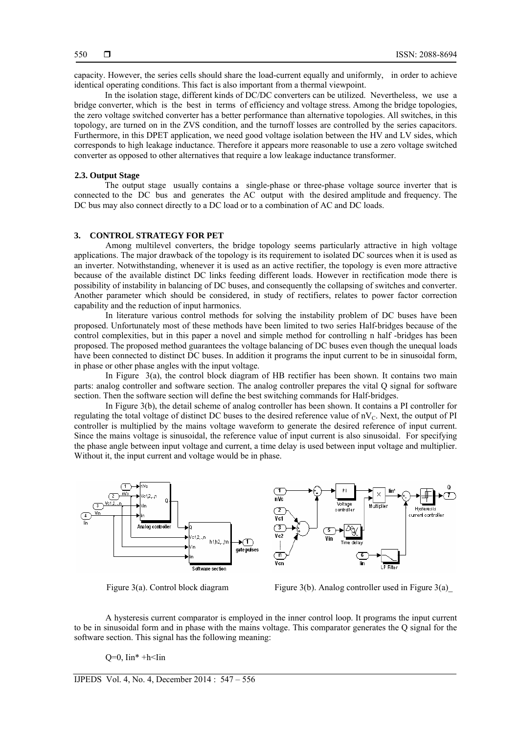capacity. However, the series cells should share the load-current equally and uniformly, in order to achieve identical operating conditions. This fact is also important from a thermal viewpoint.

In the isolation stage, different kinds of DC/DC converters can be utilized. Nevertheless, we use a bridge converter, which is the best in terms of efficiency and voltage stress. Among the bridge topologies, the zero voltage switched converter has a better performance than alternative topologies. All switches, in this topology, are turned on in the ZVS condition, and the turnoff losses are controlled by the series capacitors. Furthermore, in this DPET application, we need good voltage isolation between the HV and LV sides, which corresponds to high leakage inductance. Therefore it appears more reasonable to use a zero voltage switched converter as opposed to other alternatives that require a low leakage inductance transformer.

#### **2.3. Output Stage**

The output stage usually contains a single-phase or three-phase voltage source inverter that is connected to the DC bus and generates the AC output with the desired amplitude and frequency. The DC bus may also connect directly to a DC load or to a combination of AC and DC loads.

# **3. CONTROL STRATEGY FOR PET**

Among multilevel converters, the bridge topology seems particularly attractive in high voltage applications. The major drawback of the topology is its requirement to isolated DC sources when it is used as an inverter. Notwithstanding, whenever it is used as an active rectifier, the topology is even more attractive because of the available distinct DC links feeding different loads. However in rectification mode there is possibility of instability in balancing of DC buses, and consequently the collapsing of switches and converter. Another parameter which should be considered, in study of rectifiers, relates to power factor correction capability and the reduction of input harmonics.

In literature various control methods for solving the instability problem of DC buses have been proposed. Unfortunately most of these methods have been limited to two series Half-bridges because of the control complexities, but in this paper a novel and simple method for controlling n half -bridges has been proposed. The proposed method guarantees the voltage balancing of DC buses even though the unequal loads have been connected to distinct DC buses. In addition it programs the input current to be in sinusoidal form, in phase or other phase angles with the input voltage.

In Figure 3(a), the control block diagram of HB rectifier has been shown. It contains two main parts: analog controller and software section. The analog controller prepares the vital Q signal for software section. Then the software section will define the best switching commands for Half-bridges.

In Figure 3(b), the detail scheme of analog controller has been shown. It contains a PI controller for regulating the total voltage of distinct DC buses to the desired reference value of  $nV<sub>C</sub>$ . Next, the output of PI controller is multiplied by the mains voltage waveform to generate the desired reference of input current. Since the mains voltage is sinusoidal, the reference value of input current is also sinusoidal. For specifying the phase angle between input voltage and current, a time delay is used between input voltage and multiplier. Without it, the input current and voltage would be in phase.



Figure 3(a). Control block diagram Figure 3(b). Analog controller used in Figure 3(a)

A hysteresis current comparator is employed in the inner control loop. It programs the input current to be in sinusoidal form and in phase with the mains voltage. This comparator generates the Q signal for the software section. This signal has the following meaning:

 $Q=0$ ,  $\text{Lin}^*$  +h<Iin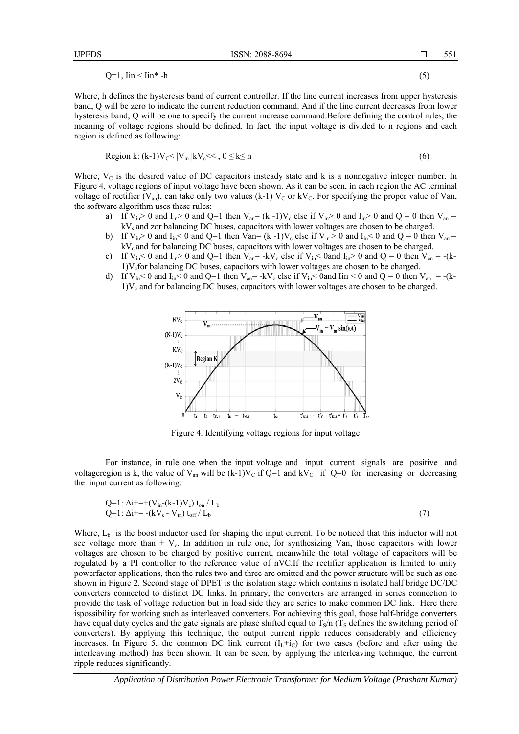IJPEDS ISSN: 2088-8694

551

$$
Q=1, \text{ lin} < \text{lin}^* \tag{5}
$$

Where, h defines the hysteresis band of current controller. If the line current increases from upper hysteresis band, Q will be zero to indicate the current reduction command. And if the line current decreases from lower hysteresis band, Q will be one to specify the current increase command.Before defining the control rules, the meaning of voltage regions should be defined. In fact, the input voltage is divided to n regions and each region is defined as following:

$$
Region k: (k-1)VC < |Vin|kVc <<, 0 \le k \le n
$$
\n
$$
(6)
$$

Where,  $V_C$  is the desired value of DC capacitors insteady state and k is a nonnegative integer number. In Figure 4, voltage regions of input voltage have been shown. As it can be seen, in each region the AC terminal voltage of rectifier (V<sub>an</sub>), can take only two values (k-1) V<sub>C</sub> or kV<sub>C</sub>. For specifying the proper value of Van, the software algorithm uses these rules:

- a) If  $V_{in} > 0$  and  $I_{in} > 0$  and  $Q=1$  then  $V_{an} = (k-1)V_c$  else if  $V_{in} > 0$  and  $I_{in} > 0$  and  $Q = 0$  then  $V_{an} =$  $kV_c$  and zor balancing DC buses, capacitors with lower voltages are chosen to be charged.
- b) If  $V_{in} > 0$  and  $I_{in} < 0$  and Q=1 then Van= (k -1)V<sub>c</sub> else if  $V_{in} > 0$  and  $I_{in} < 0$  and Q = 0 then V<sub>an</sub> =  $kV<sub>c</sub>$  and for balancing DC buses, capacitors with lower voltages are chosen to be charged.
- c) If  $V_{in}$  < 0 and  $I_{in}$  > 0 and Q=1 then  $V_{an}$  = -kV<sub>c</sub> else if  $V_{in}$  < 0 and  $I_{in}$  > 0 and Q = 0 then  $V_{an}$  = -(k- $1$ )V<sub>c</sub>for balancing DC buses, capacitors with lower voltages are chosen to be charged.
- d) If  $V_{in}$  < 0 and  $I_{in}$  < 0 and Q=1 then  $V_{an}$  = -kV<sub>c</sub> else if  $V_{in}$  < 0 and Iin < 0 and Q = 0 then  $V_{an}$  = -(k- $1)V<sub>c</sub>$  and for balancing DC buses, capacitors with lower voltages are chosen to be charged.



Figure 4. Identifying voltage regions for input voltage

For instance, in rule one when the input voltage and input current signals are positive and voltageregion is k, the value of  $V_{an}$  will be (k-1) $V_c$  if Q=1 and k $V_c$  if Q=0 for increasing or decreasing the input current as following:

$$
Q=1: \Delta i+=+(V_{in}-(k-1)V_c) t_{on} / L_b
$$
  
Q=1:  $\Delta i+=-(kV_c-V_{in}) t_{off} / L_b$  (7)

Where,  $L_b$  is the boost inductor used for shaping the input current. To be noticed that this inductor will not see voltage more than  $\pm V_c$ . In addition in rule one, for synthesizing Van, those capacitors with lower voltages are chosen to be charged by positive current, meanwhile the total voltage of capacitors will be regulated by a PI controller to the reference value of nVC.If the rectifier application is limited to unity powerfactor applications, then the rules two and three are omitted and the power structure will be such as one shown in Figure 2. Second stage of DPET is the isolation stage which contains n isolated half bridge DC/DC converters connected to distinct DC links. In primary, the converters are arranged in series connection to provide the task of voltage reduction but in load side they are series to make common DC link. Here there ispossibility for working such as interleaved converters. For achieving this goal, those half-bridge converters have equal duty cycles and the gate signals are phase shifted equal to  $T<sub>S</sub>/n$  ( $T<sub>S</sub>$  defines the switching period of converters). By applying this technique, the output current ripple reduces considerably and efficiency increases. In Figure 5, the common DC link current  $(I_L + i_C)$  for two cases (before and after using the interleaving method) has been shown. It can be seen, by applying the interleaving technique, the current ripple reduces significantly.

*Application of Distribution Power Electronic Transformer for Medium Voltage (Prashant Kumar)*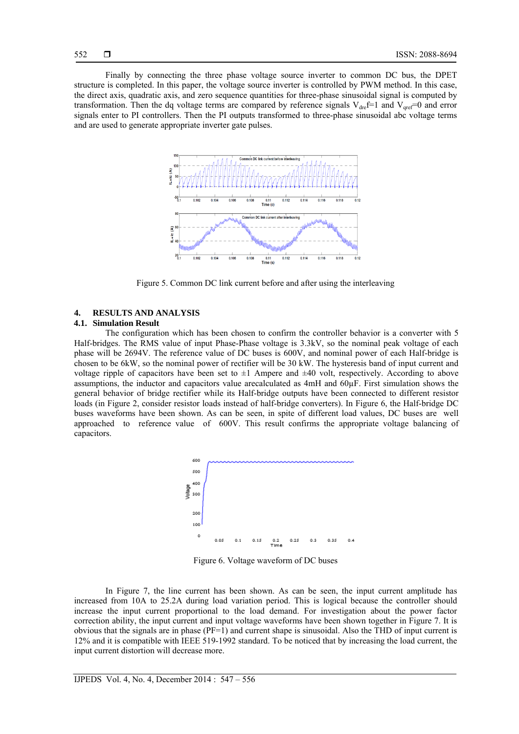Finally by connecting the three phase voltage source inverter to common DC bus, the DPET structure is completed. In this paper, the voltage source inverter is controlled by PWM method. In this case, the direct axis, quadratic axis, and zero sequence quantities for three-phase sinusoidal signal is computed by transformation. Then the dq voltage terms are compared by reference signals  $V_{\text{dre}}f=1$  and  $V_{\text{qref}}=0$  and error signals enter to PI controllers. Then the PI outputs transformed to three-phase sinusoidal abc voltage terms and are used to generate appropriate inverter gate pulses.



Figure 5. Common DC link current before and after using the interleaving

# **4. RESULTS AND ANALYSIS**

#### **4.1. Simulation Result**

The configuration which has been chosen to confirm the controller behavior is a converter with 5 Half-bridges. The RMS value of input Phase-Phase voltage is 3.3kV, so the nominal peak voltage of each phase will be 2694V. The reference value of DC buses is 600V, and nominal power of each Half-bridge is chosen to be 6kW, so the nominal power of rectifier will be 30 kW. The hysteresis band of input current and voltage ripple of capacitors have been set to  $\pm 1$  Ampere and  $\pm 40$  volt, respectively. According to above assumptions, the inductor and capacitors value arecalculated as 4mH and 60µF. First simulation shows the general behavior of bridge rectifier while its Half-bridge outputs have been connected to different resistor loads (in Figure 2, consider resistor loads instead of half-bridge converters). In Figure 6, the Half-bridge DC buses waveforms have been shown. As can be seen, in spite of different load values, DC buses are well approached to reference value of 600V. This result confirms the appropriate voltage balancing of capacitors.



Figure 6. Voltage waveform of DC buses

In Figure 7, the line current has been shown. As can be seen, the input current amplitude has increased from 10A to 25.2A during load variation period. This is logical because the controller should increase the input current proportional to the load demand. For investigation about the power factor correction ability, the input current and input voltage waveforms have been shown together in Figure 7. It is obvious that the signals are in phase (PF=1) and current shape is sinusoidal. Also the THD of input current is 12% and it is compatible with IEEE 519-1992 standard. To be noticed that by increasing the load current, the input current distortion will decrease more.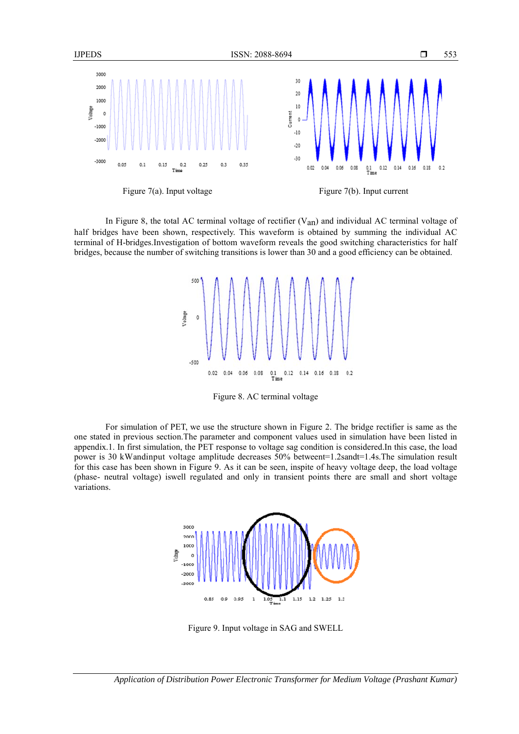

In Figure 8, the total AC terminal voltage of rectifier  $(V_{an})$  and individual AC terminal voltage of half bridges have been shown, respectively. This waveform is obtained by summing the individual AC terminal of H-bridges.Investigation of bottom waveform reveals the good switching characteristics for half bridges, because the number of switching transitions is lower than 30 and a good efficiency can be obtained.



Figure 8. AC terminal voltage

For simulation of PET, we use the structure shown in Figure 2. The bridge rectifier is same as the one stated in previous section.The parameter and component values used in simulation have been listed in appendix.1. In first simulation, the PET response to voltage sag condition is considered.In this case, the load power is 30 kWandinput voltage amplitude decreases 50% betweent=1.2sandt=1.4s.The simulation result for this case has been shown in Figure 9. As it can be seen, inspite of heavy voltage deep, the load voltage (phase- neutral voltage) iswell regulated and only in transient points there are small and short voltage variations.



Figure 9. Input voltage in SAG and SWELL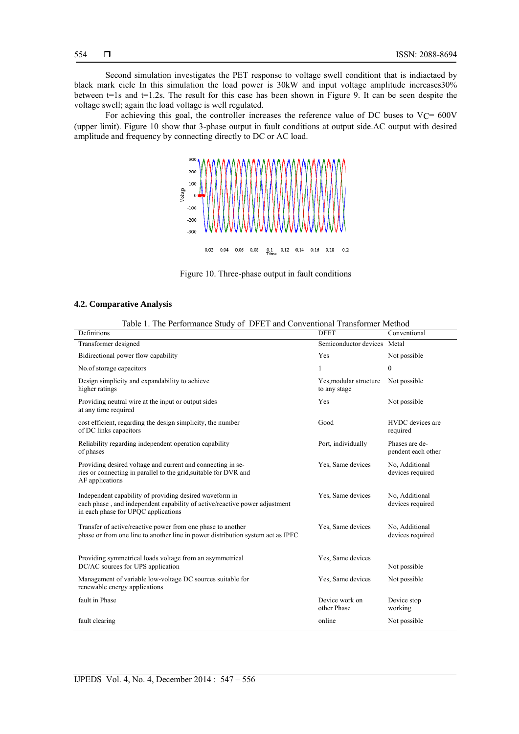Second simulation investigates the PET response to voltage swell conditiont that is indiactaed by black mark cicle In this simulation the load power is 30kW and input voltage amplitude increases30% between  $t=1s$  and  $t=1.2s$ . The result for this case has been shown in Figure 9. It can be seen despite the voltage swell; again the load voltage is well regulated.

For achieving this goal, the controller increases the reference value of DC buses to  $V = 600V$ (upper limit). Figure 10 show that 3-phase output in fault conditions at output side.AC output with desired amplitude and frequency by connecting directly to DC or AC load.



Figure 10. Three-phase output in fault conditions

# **4.2. Comparative Analysis**

| Definitions                                                                                                                                                                  | <b>DFET</b>                            | Conventional                         |
|------------------------------------------------------------------------------------------------------------------------------------------------------------------------------|----------------------------------------|--------------------------------------|
| Transformer designed                                                                                                                                                         | Semiconductor devices Metal            |                                      |
| Bidirectional power flow capability                                                                                                                                          | Yes                                    | Not possible                         |
| No.of storage capacitors                                                                                                                                                     | 1                                      | $\mathbf{0}$                         |
| Design simplicity and expandability to achieve<br>higher ratings                                                                                                             | Yes, modular structure<br>to any stage | Not possible                         |
| Providing neutral wire at the input or output sides<br>at any time required                                                                                                  | Yes                                    | Not possible                         |
| cost efficient, regarding the design simplicity, the number<br>of DC links capacitors                                                                                        | Good                                   | HVDC devices are<br>required         |
| Reliability regarding independent operation capability<br>of phases                                                                                                          | Port, individually                     | Phases are de-<br>pendent each other |
| Providing desired voltage and current and connecting in se-<br>ries or connecting in parallel to the grid, suitable for DVR and<br>AF applications                           | Yes, Same devices                      | No, Additional<br>devices required   |
| Independent capability of providing desired waveform in<br>each phase, and independent capability of active/reactive power adjustment<br>in each phase for UPQC applications | Yes, Same devices                      | No, Additional<br>devices required   |
| Transfer of active/reactive power from one phase to another<br>phase or from one line to another line in power distribution system act as IPFC                               | Yes, Same devices                      | No, Additional<br>devices required   |
| Providing symmetrical loads voltage from an asymmetrical<br>DC/AC sources for UPS application                                                                                | Yes, Same devices                      | Not possible                         |
| Management of variable low-voltage DC sources suitable for<br>renewable energy applications                                                                                  | Yes, Same devices                      | Not possible                         |
| fault in Phase                                                                                                                                                               | Device work on<br>other Phase          | Device stop<br>working               |
| fault clearing                                                                                                                                                               | online                                 | Not possible                         |

Table 1. The Performance Study of DFET and Conventional Transformer Method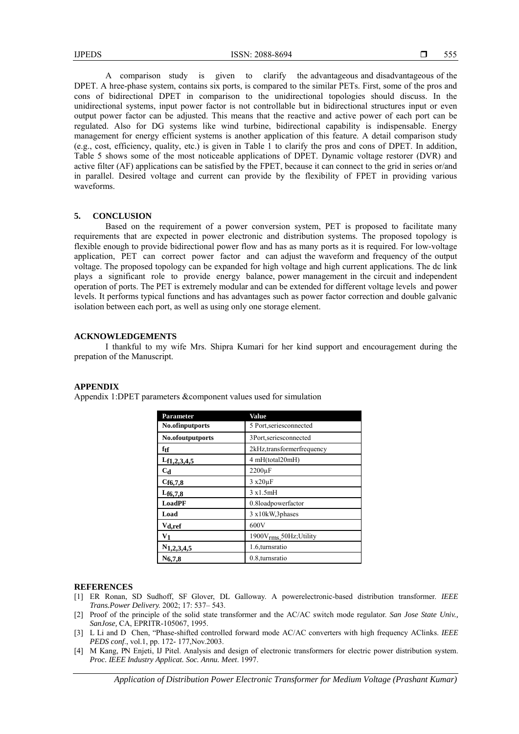A comparison study is given to clarify the advantageous and disadvantageous of the DPET. A hree-phase system, contains six ports, is compared to the similar PETs. First, some of the pros and cons of bidirectional DPET in comparison to the unidirectional topologies should discuss. In the unidirectional systems, input power factor is not controllable but in bidirectional structures input or even output power factor can be adjusted. This means that the reactive and active power of each port can be regulated. Also for DG systems like wind turbine, bidirectional capability is indispensable. Energy management for energy efficient systems is another application of this feature. A detail comparison study (e.g., cost, efficiency, quality, etc.) is given in Table 1 to clarify the pros and cons of DPET. In addition, Table 5 shows some of the most noticeable applications of DPET. Dynamic voltage restorer (DVR) and active filter (AF) applications can be satisfied by the FPET, because it can connect to the grid in series or/and in parallel. Desired voltage and current can provide by the flexibility of FPET in providing various waveforms.

# **5. CONCLUSION**

Based on the requirement of a power conversion system, PET is proposed to facilitate many requirements that are expected in power electronic and distribution systems. The proposed topology is flexible enough to provide bidirectional power flow and has as many ports as it is required. For low-voltage application, PET can correct power factor and can adjust the waveform and frequency of the output voltage. The proposed topology can be expanded for high voltage and high current applications. The dc link plays a significant role to provide energy balance, power management in the circuit and independent operation of ports. The PET is extremely modular and can be extended for different voltage levels and power levels. It performs typical functions and has advantages such as power factor correction and double galvanic isolation between each port, as well as using only one storage element.

#### **ACKNOWLEDGEMENTS**

I thankful to my wife Mrs. Shipra Kumari for her kind support and encouragement during the prepation of the Manuscript.

# **APPENDIX**

Appendix 1:DPET parameters &component values used for simulation

| Parameter                           | <b>Value</b>                       |
|-------------------------------------|------------------------------------|
| No.ofinputports                     | 5 Port, series connected           |
| No.ofoutputports                    | 3Port,seriesconnected              |
| $\mathbf{f}_{\mathbf{t}\mathbf{f}}$ | 2kHz, transformer frequency        |
| $L_{f1,2,3,4,5}$                    | 4 mH(total20mH)                    |
| $C_{d}$                             | 2200 <sub>u</sub> F                |
| $C_{f6,7,8}$                        | $3x20\mu F$                        |
| $L_{f6,7,8}$                        | 3x1.5mH                            |
| <b>LoadPF</b>                       | 0.8loadpowerfactor                 |
| Load                                | 3 x10kW,3phases                    |
| V <sub>d,ref</sub>                  | 600V                               |
| V <sub>1</sub>                      | 1900V <sub>rms,</sub> 50Hz;Utility |
| $N_{1,2,3,4,5}$                     | 1.6, turnsratio                    |
| $N_{6,7,8}$                         | 0.8, turnsratio                    |

#### **REFERENCES**

- [1] ER Ronan, SD Sudhoff, SF Glover, DL Galloway. A powerelectronic-based distribution transformer. *IEEE Trans.Power Delivery*. 2002; 17: 537– 543.
- [2] Proof of the principle of the solid state transformer and the AC/AC switch mode regulator. *San Jose State Univ., SanJose,* CA, EPRITR-105067, 1995.
- [3] L Li and D Chen, "Phase-shifted controlled forward mode AC/AC converters with high frequency AClinks. *IEEE PEDS conf*., vol.1, pp. 172- 177,Nov.2003.
- [4] M Kang, PN Enjeti, IJ Pitel. Analysis and design of electronic transformers for electric power distribution system. *Proc. IEEE Industry Applicat. Soc. Annu. Meet*. 1997.